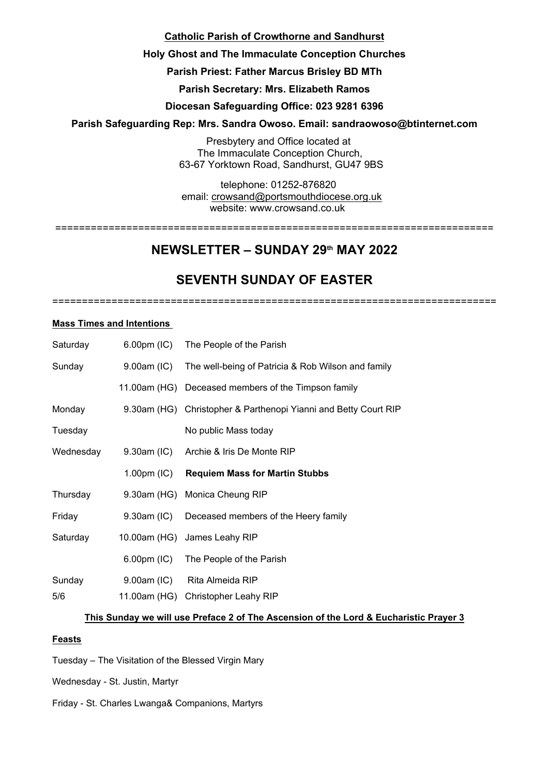## **Catholic Parish of Crowthorne and Sandhurst**

## **Holy Ghost and The Immaculate Conception Churches**

## **Parish Priest: Father Marcus Brisley BD MTh**

**Parish Secretary: Mrs. Elizabeth Ramos**

## **Diocesan Safeguarding Office: 023 9281 6396**

## **Parish Safeguarding Rep: Mrs. Sandra Owoso. Email: sandraowoso@btinternet.com**

Presbytery and Office located at The Immaculate Conception Church, 63-67 Yorktown Road, Sandhurst, GU47 9BS

telephone: 01252-876820 email: crowsand@portsmouthdiocese.org.uk

website: www.crowsand.co.uk ==========================================================================

# **NEWSLETTER – SUNDAY 29th MAY 2022**

# **SEVENTH SUNDAY OF EASTER**

===========================================================================

#### **Mass Times and Intentions**

| Saturday  |             | 6.00pm (IC) The People of the Parish                            |
|-----------|-------------|-----------------------------------------------------------------|
| Sunday    |             | 9.00am (IC) The well-being of Patricia & Rob Wilson and family  |
|           |             | 11.00am (HG) Deceased members of the Timpson family             |
| Monday    |             | 9.30am (HG) Christopher & Parthenopi Yianni and Betty Court RIP |
| Tuesday   |             | No public Mass today                                            |
| Wednesday |             | 9.30am (IC) Archie & Iris De Monte RIP                          |
|           |             | 1.00pm (IC) Requiem Mass for Martin Stubbs                      |
| Thursday  |             | 9.30am (HG) Monica Cheung RIP                                   |
| Friday    |             | 9.30am (IC) Deceased members of the Heery family                |
| Saturday  |             | 10.00am (HG) James Leahy RIP                                    |
|           |             | 6.00pm (IC) The People of the Parish                            |
| Sunday    | 9.00am (IC) | Rita Almeida RIP                                                |
| 5/6       |             | 11.00am (HG) Christopher Leahy RIP                              |

### **This Sunday we will use Preface 2 of The Ascension of the Lord & Eucharistic Prayer 3**

#### **Feasts**

Tuesday – The Visitation of the Blessed Virgin Mary

Wednesday - St. Justin, Martyr

Friday - St. Charles Lwanga& Companions, Martyrs